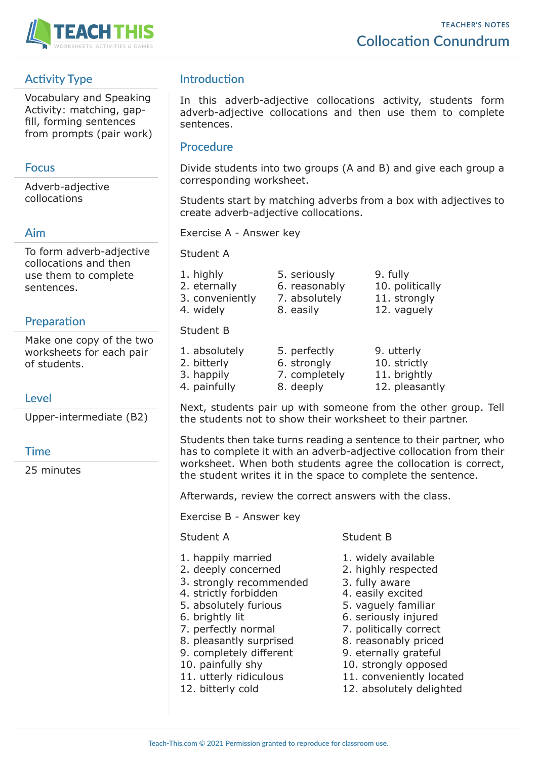

# **Activity Type**

Vocabulary and Speaking Activity: matching, gapfill, forming sentences from prompts (pair work)

## **Focus**

Adverb-adjective collocations

## **Aim**

To form adverb-adjective collocations and then use them to complete sentences.

# **Preparation**

Make one copy of the two worksheets for each pair of students.

## **Level**

Upper-intermediate (B2)

## **Time**

25 minutes

# **Introduction**

In this adverb-adjective collocations activity, students form adverb-adjective collocations and then use them to complete sentences.

## **Procedure**

Divide students into two groups (A and B) and give each group a corresponding worksheet.

Students start by matching adverbs from a box with adjectives to create adverb-adjective collocations.

Exercise A - Answer key

Student A

- 1. highly 5. seriously 9. fully
- 2. eternally 6. reasonably 10. politically
- 3. conveniently 7. absolutely 11. strongly
- 4. widely 8. easily 12. vaguely

## Student B

1. absolutely 5. perfectly 9. utterly 2. bitterly 6. strongly 10. strictly 3. happily 7. completely 11. brightly 4. painfully 8. deeply 12. pleasantly

Next, students pair up with someone from the other group. Tell the students not to show their worksheet to their partner.

Students then take turns reading a sentence to their partner, who has to complete it with an adverb-adjective collocation from their worksheet. When both students agree the collocation is correct, the student writes it in the space to complete the sentence.

Afterwards, review the correct answers with the class.

Exercise B - Answer key

### Student A Student B

- 1. happily married 1. widely available
- 2. deeply concerned 2. highly respected
- 3. strongly recommended 3. fully aware
- 4. strictly forbidden 4. easily excited
- 5. absolutely furious 5. vaguely familiar
- 
- 
- 8. pleasantly surprised 8. reasonably priced
- 9. completely different 9. eternally grateful
- 
- 
- 

- 
- 
- 
- 
- 
- 6. brightly lit 6. seriously injured
- 7. perfectly normal 7. politically correct
	-
	-
- 10. painfully shy 10. strongly opposed
- 11. utterly ridiculous 11. conveniently located
- 12. bitterly cold 12. absolutely delighted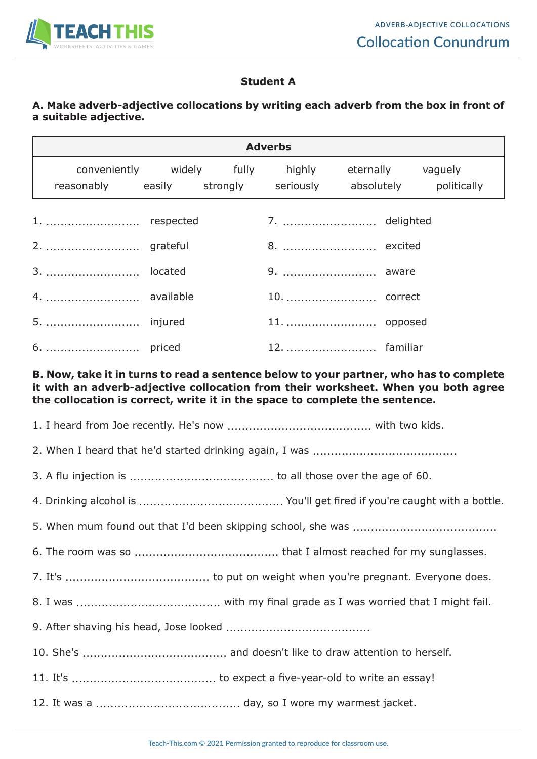

## **Student A**

## **A. Make adverb-adjective collocations by writing each adverb from the box in front of a suitable adjective.**

| <b>Adverbs</b>                                              |  |  |                                                    |  |  |  |
|-------------------------------------------------------------|--|--|----------------------------------------------------|--|--|--|
| reasonably easily strongly seriously absolutely politically |  |  | conveniently widely fully highly eternally vaguely |  |  |  |
|                                                             |  |  | 7.  delighted                                      |  |  |  |
|                                                             |  |  | 8.  excited                                        |  |  |  |
|                                                             |  |  | 9.  aware                                          |  |  |  |
| 4.  available                                               |  |  |                                                    |  |  |  |
| 5.  injured                                                 |  |  | 11.  opposed                                       |  |  |  |
|                                                             |  |  | 12.  familiar                                      |  |  |  |

#### **B. Now, take it in turns to read a sentence below to your partner, who has to complete it with an adverb-adjective collocation from their worksheet. When you both agree the collocation is correct, write it in the space to complete the sentence.**